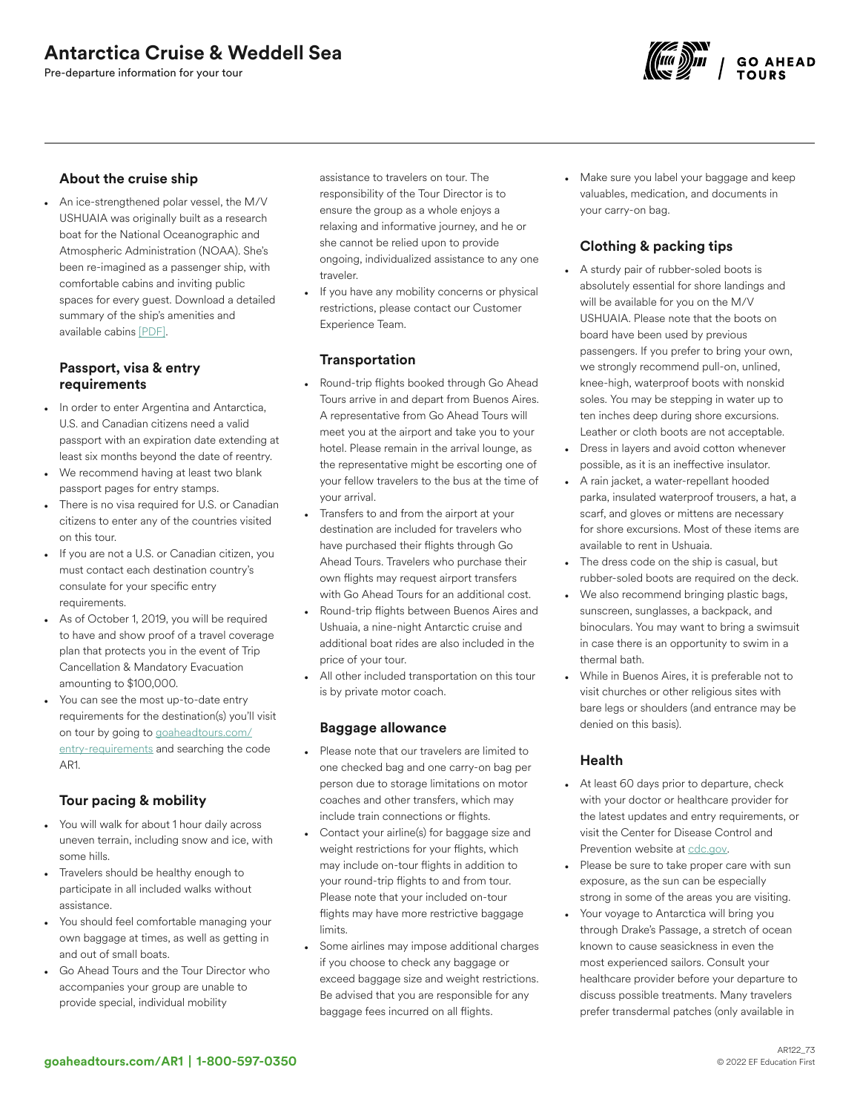# Antarctica Cruise & Weddell Sea

Pre-departure information for your tour



### About the cruise ship

• An ice-strengthened polar vessel, the M/V USHUAIA was originally built as a research boat for the National Oceanographic and Atmospheric Administration (NOAA). She's been re-imagined as a passenger ship, with comfortable cabins and inviting public spaces for every guest. Download a detailed summary of the ship's amenities and available cabins [\[PDF\].](http://images.goaheadtours.com/Files/152/Cruise%20Sheet%20ART.pdf)

## Passport, visa & entry requirements

- In order to enter Argentina and Antarctica, U.S. and Canadian citizens need a valid passport with an expiration date extending at least six months beyond the date of reentry.
- We recommend having at least two blank passport pages for entry stamps.
- There is no visa required for U.S. or Canadian citizens to enter any of the countries visited on this tour.
- If you are not a U.S. or Canadian citizen, you must contact each destination country's consulate for your specific entry requirements.
- As of October 1, 2019, you will be required to have and show proof of a travel coverage plan that protects you in the event of Trip Cancellation & Mandatory Evacuation amounting to \$100,000.
- You can see the most up-to-date entry requirements for the destination(s) you'll visit on tour by going to [goaheadtours.com/](/entry-requirements?tourCode=AR1) [entry-requirements](/entry-requirements?tourCode=AR1) and searching the code AR1.

## Tour pacing & mobility

- You will walk for about 1 hour daily across uneven terrain, including snow and ice, with some hills.
- Travelers should be healthy enough to participate in all included walks without assistance.
- You should feel comfortable managing your own baggage at times, as well as getting in and out of small boats.
- Go Ahead Tours and the Tour Director who accompanies your group are unable to provide special, individual mobility

assistance to travelers on tour. The responsibility of the Tour Director is to ensure the group as a whole enjoys a relaxing and informative journey, and he or she cannot be relied upon to provide ongoing, individualized assistance to any one traveler.

• If you have any mobility concerns or physical restrictions, please contact our Customer Experience Team.

## **Transportation**

- Round-trip flights booked through Go Ahead Tours arrive in and depart from Buenos Aires. A representative from Go Ahead Tours will meet you at the airport and take you to your hotel. Please remain in the arrival lounge, as the representative might be escorting one of your fellow travelers to the bus at the time of your arrival.
- Transfers to and from the airport at your destination are included for travelers who have purchased their flights through Go Ahead Tours. Travelers who purchase their own flights may request airport transfers with Go Ahead Tours for an additional cost.
- Round-trip flights between Buenos Aires and Ushuaia, a nine-night Antarctic cruise and additional boat rides are also included in the price of your tour.
- All other included transportation on this tour is by private motor coach.

### Baggage allowance

- Please note that our travelers are limited to one checked bag and one carry-on bag per person due to storage limitations on motor coaches and other transfers, which may include train connections or flights.
- Contact your airline(s) for baggage size and weight restrictions for your flights, which may include on-tour flights in addition to your round-trip flights to and from tour. Please note that your included on-tour flights may have more restrictive baggage limits.
- Some airlines may impose additional charges if you choose to check any baggage or exceed baggage size and weight restrictions. Be advised that you are responsible for any baggage fees incurred on all flights.

• Make sure you label your baggage and keep valuables, medication, and documents in your carry-on bag.

## Clothing & packing tips

- A sturdy pair of rubber-soled boots is absolutely essential for shore landings and will be available for you on the M/V USHUAIA. Please note that the boots on board have been used by previous passengers. If you prefer to bring your own, we strongly recommend pull-on, unlined, knee-high, waterproof boots with nonskid soles. You may be stepping in water up to ten inches deep during shore excursions. Leather or cloth boots are not acceptable.
- Dress in layers and avoid cotton whenever possible, as it is an ineffective insulator.
- A rain jacket, a water-repellant hooded parka, insulated waterproof trousers, a hat, a scarf, and gloves or mittens are necessary for shore excursions. Most of these items are available to rent in Ushuaia.
- The dress code on the ship is casual, but rubber-soled boots are required on the deck.
- We also recommend bringing plastic bags, sunscreen, sunglasses, a backpack, and binoculars. You may want to bring a swimsuit in case there is an opportunity to swim in a thermal bath.
- While in Buenos Aires, it is preferable not to visit churches or other religious sites with bare legs or shoulders (and entrance may be denied on this basis).

### **Health**

- At least 60 days prior to departure, check with your doctor or healthcare provider for the latest updates and entry requirements, or visit the Center for Disease Control and Prevention website at [cdc.gov.](https://www.cdc.gov/)
- Please be sure to take proper care with sun exposure, as the sun can be especially strong in some of the areas you are visiting.
- Your voyage to Antarctica will bring you through Drake's Passage, a stretch of ocean known to cause seasickness in even the most experienced sailors. Consult your healthcare provider before your departure to discuss possible treatments. Many travelers prefer transdermal patches (only available in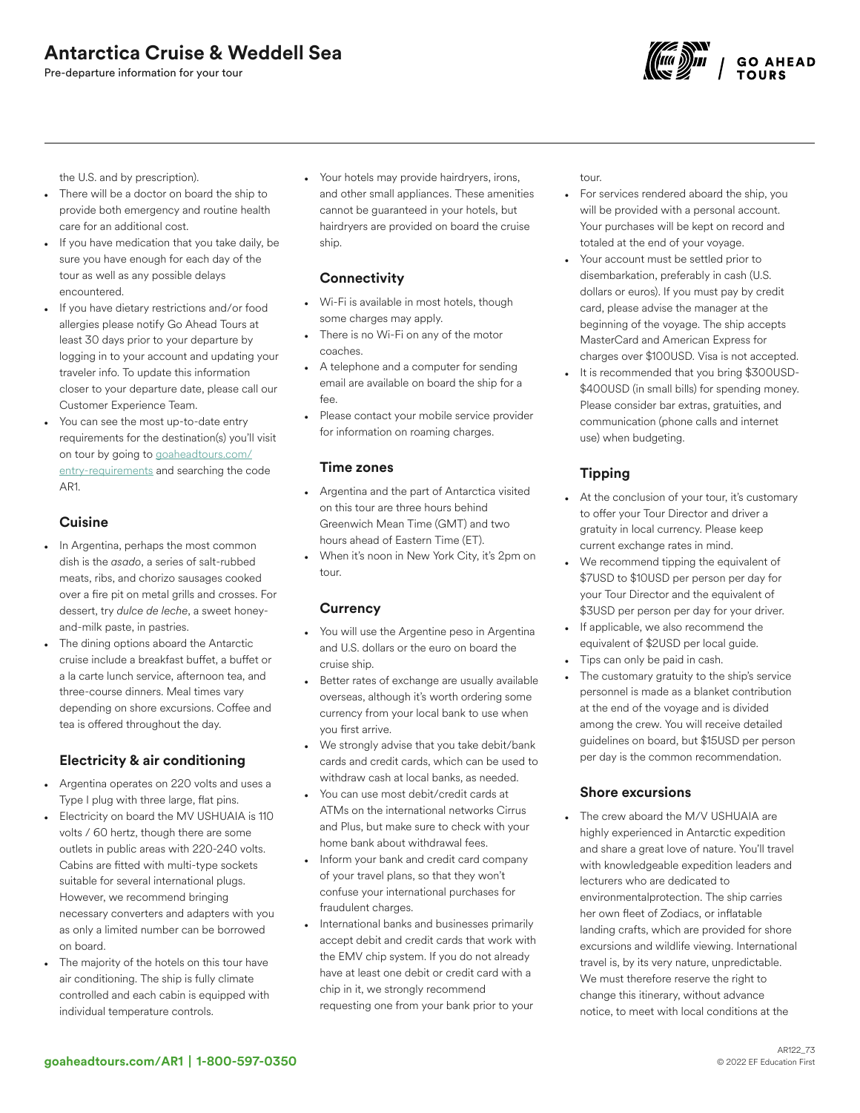# Antarctica Cruise & Weddell Sea

Pre-departure information for your tour



the U.S. and by prescription).

- There will be a doctor on board the ship to provide both emergency and routine health care for an additional cost.
- If you have medication that you take daily, be sure you have enough for each day of the tour as well as any possible delays encountered.
- If you have dietary restrictions and/or food allergies please notify Go Ahead Tours at least 30 days prior to your departure by logging in to your account and updating your traveler info. To update this information closer to your departure date, please call our Customer Experience Team.
- You can see the most up-to-date entry requirements for the destination(s) you'll visit on tour by going to [goaheadtours.com/](/entry-requirements?tourCode=AR1) [entry-requirements](/entry-requirements?tourCode=AR1) and searching the code AR1.

# **Cuisine**

- In Argentina, perhaps the most common dish is the *asado*, a series of salt-rubbed meats, ribs, and chorizo sausages cooked over a fire pit on metal grills and crosses. For dessert, try *dulce de leche*, a sweet honeyand-milk paste, in pastries.
- The dining options aboard the Antarctic cruise include a breakfast buffet, a buffet or a la carte lunch service, afternoon tea, and three-course dinners. Meal times vary depending on shore excursions. Coffee and tea is offered throughout the day.

# Electricity & air conditioning

- Argentina operates on 220 volts and uses a Type I plug with three large, flat pins.
- Electricity on board the MV USHUAIA is 110 volts / 60 hertz, though there are some outlets in public areas with 220-240 volts. Cabins are fitted with multi-type sockets suitable for several international plugs. However, we recommend bringing necessary converters and adapters with you as only a limited number can be borrowed on board.
- The majority of the hotels on this tour have air conditioning. The ship is fully climate controlled and each cabin is equipped with individual temperature controls.

• Your hotels may provide hairdryers, irons, and other small appliances. These amenities cannot be guaranteed in your hotels, but hairdryers are provided on board the cruise ship.

## **Connectivity**

- Wi-Fi is available in most hotels, though some charges may apply.
- There is no Wi-Fi on any of the motor coaches.
- A telephone and a computer for sending email are available on board the ship for a fee.
- Please contact your mobile service provider for information on roaming charges.

### Time zones

- Argentina and the part of Antarctica visited on this tour are three hours behind Greenwich Mean Time (GMT) and two hours ahead of Eastern Time (ET).
- When it's noon in New York City, it's 2pm on tour.

### **Currency**

- You will use the Argentine peso in Argentina and U.S. dollars or the euro on board the cruise ship.
- Better rates of exchange are usually available overseas, although it's worth ordering some currency from your local bank to use when you first arrive.
- We strongly advise that you take debit/bank cards and credit cards, which can be used to withdraw cash at local banks, as needed.
- You can use most debit/credit cards at ATMs on the international networks Cirrus and Plus, but make sure to check with your home bank about withdrawal fees.
- Inform your bank and credit card company of your travel plans, so that they won't confuse your international purchases for fraudulent charges.
- International banks and businesses primarily accept debit and credit cards that work with the EMV chip system. If you do not already have at least one debit or credit card with a chip in it, we strongly recommend requesting one from your bank prior to your

tour.

- For services rendered aboard the ship, you will be provided with a personal account. Your purchases will be kept on record and totaled at the end of your voyage.
- Your account must be settled prior to disembarkation, preferably in cash (U.S. dollars or euros). If you must pay by credit card, please advise the manager at the beginning of the voyage. The ship accepts MasterCard and American Express for charges over \$100USD. Visa is not accepted.
- It is recommended that you bring \$300USD- \$400USD (in small bills) for spending money. Please consider bar extras, gratuities, and communication (phone calls and internet use) when budgeting.

# Tipping

- At the conclusion of your tour, it's customary to offer your Tour Director and driver a gratuity in local currency. Please keep current exchange rates in mind.
- We recommend tipping the equivalent of \$7USD to \$10USD per person per day for your Tour Director and the equivalent of \$3USD per person per day for your driver.
- If applicable, we also recommend the equivalent of \$2USD per local guide.
- Tips can only be paid in cash.
- The customary gratuity to the ship's service personnel is made as a blanket contribution at the end of the voyage and is divided among the crew. You will receive detailed guidelines on board, but \$15USD per person per day is the common recommendation.

### Shore excursions

The crew aboard the M/V USHUAIA are highly experienced in Antarctic expedition and share a great love of nature. You'll travel with knowledgeable expedition leaders and lecturers who are dedicated to environmentalprotection. The ship carries her own fleet of Zodiacs, or inflatable landing crafts, which are provided for shore excursions and wildlife viewing. International travel is, by its very nature, unpredictable. We must therefore reserve the right to change this itinerary, without advance notice, to meet with local conditions at the